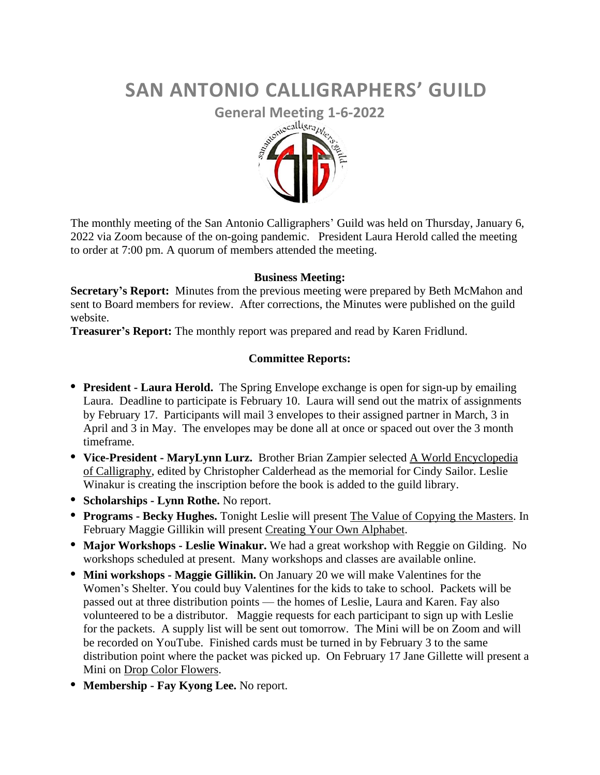# **SAN ANTONIO CALLIGRAPHERS' GUILD**



The monthly meeting of the San Antonio Calligraphers' Guild was held on Thursday, January 6, 2022 via Zoom because of the on-going pandemic. President Laura Herold called the meeting to order at 7:00 pm. A quorum of members attended the meeting.

## **Business Meeting:**

**Secretary's Report:** Minutes from the previous meeting were prepared by Beth McMahon and sent to Board members for review. After corrections, the Minutes were published on the guild website.

**Treasurer's Report:** The monthly report was prepared and read by Karen Fridlund.

## **Committee Reports:**

- **• President - Laura Herold.** The Spring Envelope exchange is open for sign-up by emailing Laura. Deadline to participate is February 10. Laura will send out the matrix of assignments by February 17. Participants will mail 3 envelopes to their assigned partner in March, 3 in April and 3 in May. The envelopes may be done all at once or spaced out over the 3 month timeframe.
- **• Vice-President - MaryLynn Lurz.** Brother Brian Zampier selected A World Encyclopedia of Calligraphy, edited by Christopher Calderhead as the memorial for Cindy Sailor. Leslie Winakur is creating the inscription before the book is added to the guild library.
- **• Scholarships - Lynn Rothe.** No report.
- **• Programs - Becky Hughes.** Tonight Leslie will present The Value of Copying the Masters. In February Maggie Gillikin will present Creating Your Own Alphabet.
- **• Major Workshops - Leslie Winakur.** We had a great workshop with Reggie on Gilding. No workshops scheduled at present. Many workshops and classes are available online.
- **• Mini workshops - Maggie Gillikin.** On January 20 we will make Valentines for the Women's Shelter. You could buy Valentines for the kids to take to school. Packets will be passed out at three distribution points — the homes of Leslie, Laura and Karen. Fay also volunteered to be a distributor. Maggie requests for each participant to sign up with Leslie for the packets. A supply list will be sent out tomorrow. The Mini will be on Zoom and will be recorded on YouTube. Finished cards must be turned in by February 3 to the same distribution point where the packet was picked up. On February 17 Jane Gillette will present a Mini on Drop Color Flowers.
- **• Membership - Fay Kyong Lee.** No report.